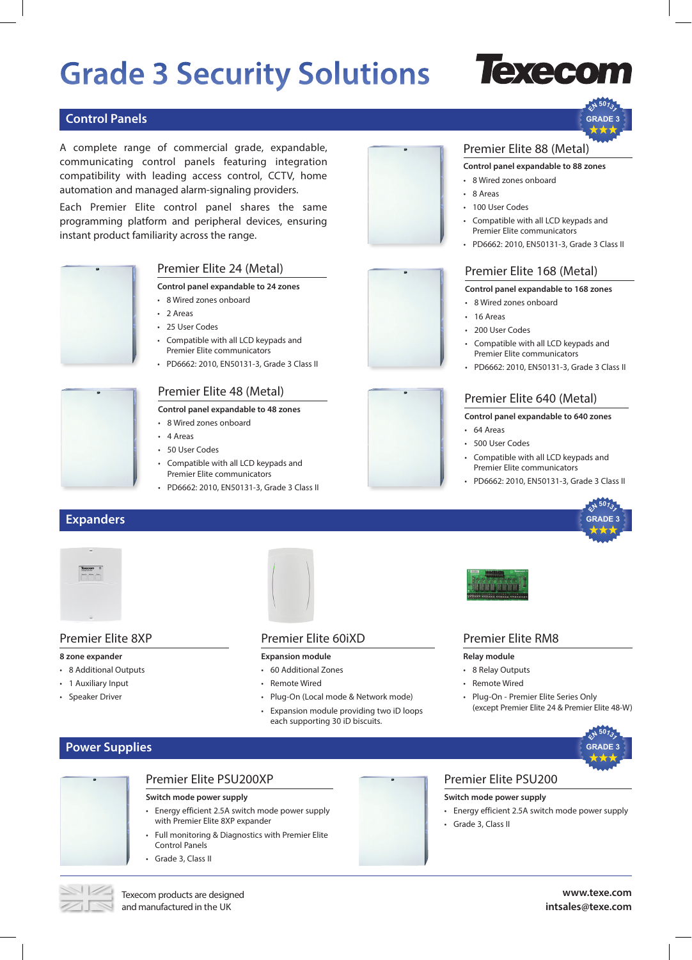# **Grade 3 Security Solutions**

# execon

**<sup>E</sup><sup>N</sup> <sup>5</sup>013<sup>1</sup> GRADE 3**

# **Control Panels**

A complete range of commercial grade, expandable, communicating control panels featuring integration compatibility with leading access control, CCTV, home automation and managed alarm-signaling providers.

Each Premier Elite control panel shares the same programming platform and peripheral devices, ensuring instant product familiarity across the range.



- 
- 50 User Codes • Compatible with all LCD keypads and

• 4 Areas

• 2 Areas • 25 User Codes

• 8 Wired zones onboard

Premier Elite communicators

Premier Elite 48 (Metal) **Control panel expandable to 48 zones**

• Compatible with all LCD keypads and Premier Elite communicators

• PD6662: 2010, EN50131-3, Grade 3 Class II

Premier Elite 24 (Metal) **Control panel expandable to 24 zones**

• 8 Wired zones onboard

• PD6662: 2010, EN50131-3, Grade 3 Class II











### Premier Elite 8XP

#### **8 zone expander**

- 8 Additional Outputs
- 1 Auxiliary Input
- Speaker Driver



### Premier Elite 60iXD

#### **Expansion module**

- 60 Additional Zones
- Remote Wired
- Plug-On (Local mode & Network mode)
- Expansion module providing two iD loops each supporting 30 iD biscuits.



### Premier Elite RM8

#### **Relay module**

- 8 Relay Outputs
- Remote Wired
- Plug-On Premier Elite Series Only (except Premier Elite 24 & Premier Elite 48-W)

# **Power Supplies**



# Premier Elite PSU200XP

- **Switch mode power supply**
- Energy efficient 2.5A switch mode power supply with Premier Elite 8XP expander
- Full monitoring & Diagnostics with Premier Elite Control Panels
- Grade 3, Class II

- **Switch mode power supply**
- Energy efficient 2.5A switch mode power supply
- Grade 3, Class II

Texecom products are designed and manufactured in the UK

### **www.texe.com intsales@texe.com**

# Premier Elite 88 (Metal) **Control panel expandable to 88 zones** • 8 Wired zones onboard

- 8 Areas
- 100 User Codes
- Compatible with all LCD keypads and Premier Elite communicators
- PD6662: 2010, EN50131-3, Grade 3 Class II

# Premier Elite 168 (Metal)

#### **Control panel expandable to 168 zones**

- 8 Wired zones onboard
- 16 Areas
- 200 User Codes
- Compatible with all LCD keypads and Premier Elite communicators
- PD6662: 2010, EN50131-3, Grade 3 Class II

# Premier Elite 640 (Metal)

#### **Control panel expandable to 640 zones**

- 64 Areas
- 500 User Codes
- Compatible with all LCD keypads and Premier Elite communicators
- PD6662: 2010, EN50131-3, Grade 3 Class II



**<sup>E</sup><sup>N</sup> <sup>5</sup>013<sup>1</sup> GRADE 3**



- 
- Premier Elite PSU200
-